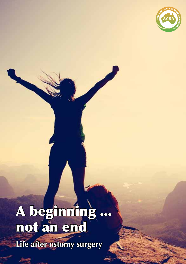

# A beginning ... not an end **Life after ostomy surgery**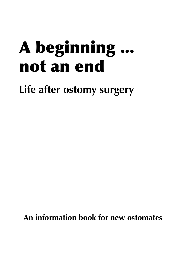# A beginning ... not an end

**Life after ostomy surgery**

**An information book for new ostomates**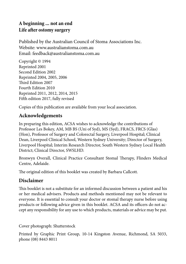#### **A beginning ... not an end Life after ostomy surgery**

Published by the Australian Council of Stoma Associations Inc. Website: www.australianstoma.com.au Email: feedback@australianstoma.com.au

Copyright © 1994 Reprinted 2001 Second Edition 2002 Reprinted 2004, 2005, 2006 Third Edition 2007 Fourth Edition 2010 Reprinted 2011, 2012, 2014, 2015 Fifth edition 2017, fully revised

Copies of this publication are available from your local association.

#### **Acknowledgements**

In preparing this edition, ACSA wishes to acknowledge the contributions of Professor Les Bokey, AM, MB BS (Uni of Syd), MS (Syd), FRACS, FRCS (Glas) (Hon), Professor of Surgery and Colorectal Surgery, Liverpool Hospital; Clinical Dean, Liverpool Clinical School, Western Sydney University; Director of Surgery, Liverpool Hospital; Interim Research Director, South Western Sydney Local Health District; Clinical Director, SWSLHD.

Bronwyn Overall, Clinical Practice Consultant Stomal Therapy, Flinders Medical Centre, Adelaide.

The original edition of this booklet was created by Barbara Callcott.

## **Disclaimer**

This booklet is not a substitute for an informed discussion between a patient and his or her medical advisers. Products and methods mentioned may not be relevant to everyone. It is essential to consult your doctor or stomal therapy nurse before using products or following advice given in this booklet. ACSA and its officers do not accept any responsibility for any use to which products, materials or advice may be put.

Cover photograph: Shutterstock

Printed by Graphic Print Group, 10-14 Kingston Avenue, Richmond, SA 5033, phone (08) 8443 8011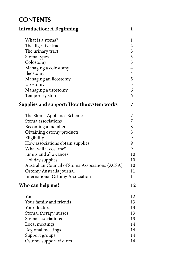## **CONTENTS**

| <b>Introduction: A Beginning</b>                  | 1                       |
|---------------------------------------------------|-------------------------|
| What is a stoma?                                  | 1                       |
| The digestive tract                               | $\overline{2}$          |
| The urinary tract                                 | $\overline{\mathbf{3}}$ |
| Stoma types                                       | $\overline{\mathbf{3}}$ |
| Colostomy                                         | $\overline{3}$          |
| Managing a colostomy                              | $\overline{\mathbf{4}}$ |
| Ileostomy                                         | $\overline{\mathbf{4}}$ |
| Managing an ileostomy                             | 5                       |
| Urostomy                                          | 5                       |
| Managing a urostomy                               | 6                       |
| Temporary stomas                                  | 6                       |
| <b>Supplies and support: How the system works</b> | 7                       |
| The Stoma Appliance Scheme                        | 7                       |
| Stoma associations                                | 7                       |
| Becoming a member                                 | 8                       |
| Obtaining ostomy products                         | 8                       |
| Eligibility                                       | 9                       |
| How associations obtain supplies                  | 9                       |
| What will it cost me?                             | 9                       |
| Limits and allowances                             | 10                      |
| Holiday supplies                                  | 10                      |
| Australian Council of Stoma Associations (ACSA)   | 10                      |
| Ostomy Australia journal                          | 11                      |
| <b>International Ostomy Association</b>           | 11                      |
| Who can help me?                                  | 12                      |
| You                                               | 12                      |
| Your family and friends                           | 13                      |
| Your doctors                                      | 13                      |
| Stomal therapy nurses                             | 13                      |
| Stoma associations                                | 13                      |
| Local meetings                                    | 14                      |
| Regional meetings                                 | 14                      |
| Support groups                                    | 14                      |
| Ostomy support visitors                           | 14                      |
|                                                   |                         |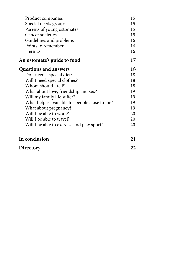| Product companies                              | 15 |
|------------------------------------------------|----|
| Special needs groups                           | 15 |
| Parents of young ostomates                     | 15 |
| Cancer societies                               | 15 |
| Guidelines and problems                        | 16 |
| Points to remember                             | 16 |
| Hernias                                        | 16 |
| An ostomate's guide to food                    | 17 |
| <b>Questions and answers</b>                   | 18 |
| Do I need a special diet?                      | 18 |
| Will I need special clothes?                   | 18 |
| Whom should I tell?                            | 18 |
| What about love, friendship and sex?           | 19 |
| Will my family life suffer?                    | 19 |
| What help is available for people close to me? | 19 |
| What about pregnancy?                          | 19 |
| Will I be able to work?                        | 20 |
| Will I be able to travel?                      | 20 |
| Will I be able to exercise and play sport?     | 20 |
| In conclusion                                  | 21 |
| Directory                                      | 22 |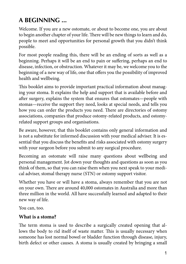# **A BEGINNING ...**

Welcome. If you are a new ostomate, or about to become one, you are about to begin another chapter of your life. There will be new things to learn and do, people to meet and opportunities for personal growth that you didn't think possible.

For most people reading this, there will be an ending of sorts as well as a beginning. Perhaps it will be an end to pain or suffering, perhaps an end to disease, infection, or obstruction. Whatever it may be, we welcome you to the beginning of a new way of life, one that offers you the possibility of improved health and wellbeing.

This booklet aims to provide important practical information about managing your stoma. It explains the help and support that is available before and after surgery, explains the system that ensures that ostomates—people with stomas—receive the support they need, looks at special needs, and tells you how you can order the products you need. There are directories of ostomy associations, companies that produce ostomy-related products, and ostomyrelated support groups and organisations.

Be aware, however, that this booklet contains only general information and is not a substitute for informed discussion with your medical adviser. It is essential that you discuss the benefits and risks associated with ostomy surgery with your surgeon before you submit to any surgical procedure.

Becoming an ostomate will raise many questions about wellbeing and personal management. Jot down your thoughts and questions as soon as you think of them, so that you can raise them when you next speak to your medical adviser, stomal therapy nurse (STN) or ostomy support visitor.

Whether you have or will have a stoma, always remember that you are not on your own. There are around 40,000 ostomates in Australia and more than three million in the world. All have successfully learned and adapted to their new way of life.

You can, too.

## **What is a stoma?**

The term stoma is used to describe a surgically created opening that allows the body to rid itself of waste matter. This is usually necessary when someone has lost normal bowel or bladder function through disease, injury, birth defect or other causes. A stoma is usually created by bringing a small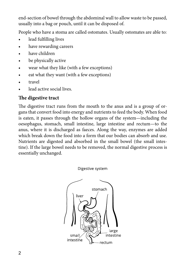end-section of bowel through the abdominal wall to allow waste to be passed, usually into a bag or pouch, until it can be disposed of.

People who have a stoma are called ostomates. Usually ostomates are able to:

- lead fulfilling lives
- have rewarding careers
- have children
- be physically active
- wear what they like (with a few exceptions)
- eat what they want (with a few exceptions)
- travel
- lead active social lives.

## **The digestive tract**

The digestive tract runs from the mouth to the anus and is a group of organs that convert food into energy and nutrients to feed the body. When food is eaten, it passes through the hollow organs of the system—including the oesophagus, stomach, small intestine, large intestine and rectum—to the anus, where it is discharged as faeces. Along the way, enzymes are added which break down the food into a form that our bodies can absorb and use. Nutrients are digested and absorbed in the small bowel (the small intestine). If the large bowel needs to be removed, the normal digestive process is essentially unchanged.

Digestive system

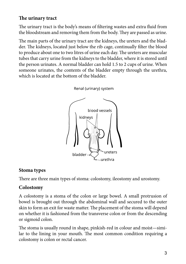## **The urinary tract**

The urinary tract is the body's means of filtering wastes and extra fluid from the bloodstream and removing them from the body. They are passed as urine.

The main parts of the urinary tract are the kidneys, the ureters and the bladder. The kidneys, located just below the rib cage, continually filter the blood to produce about one to two litres of urine each day. The ureters are muscular tubes that carry urine from the kidneys to the bladder, where it is stored until the person urinates. A normal bladder can hold 1.5 to 2 cups of urine. When someone urinates, the contents of the bladder empty through the urethra, which is located at the bottom of the bladder.

> Renal (urinary) system blood vessels kidneys bladder urethra

## **Stoma types**

There are three main types of stoma: colostomy, ileostomy and urostomy.

## **Colostomy**

A colostomy is a stoma of the colon or large bowel. A small protrusion of bowel is brought out through the abdominal wall and secured to the outer skin to form an exit for waste matter. The placement of the stoma will depend on whether it is fashioned from the transverse colon or from the descending or sigmoid colon.

The stoma is usually round in shape, pinkish-red in colour and moist—similar to the lining in your mouth. The most common condition requiring a colostomy is colon or rectal cancer.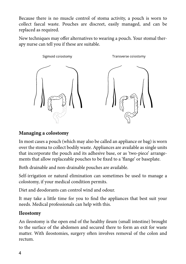Because there is no muscle control of stoma activity, a pouch is worn to collect faecal waste. Pouches are discreet, easily managed, and can be replaced as required.

New techniques may offer alternatives to wearing a pouch. Your stomal therapy nurse can tell you if these are suitable.



## **Managing a colostomy**

In most cases a pouch (which may also be called an appliance or bag) is worn over the stoma to collect bodily waste. Appliances are available as single units that incorporate the pouch and its adhesive base, or as 'two-piece' arrangements that allow replaceable pouches to be fixed to a 'flange' or baseplate.

Both drainable and non-drainable pouches are available.

Self-irrigation or natural elimination can sometimes be used to manage a colostomy, if your medical condition permits.

Diet and deodorants can control wind and odour.

It may take a little time for you to find the appliances that best suit your needs. Medical professionals can help with this.

## **Ileostomy**

An ileostomy is the open end of the healthy ileum (small intestine) brought to the surface of the abdomen and secured there to form an exit for waste matter. With ileostomies, surgery often involves removal of the colon and rectum.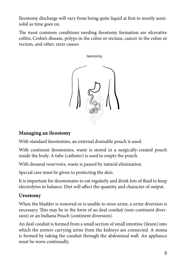Ileostomy discharge will vary from being quite liquid at first to mostly semisolid as time goes on.

The most common conditions needing ileostomy formation are ulcerative colitis, Crohn's disease, polyps in the colon or rectum, cancer in the colon or rectum, and other, rarer causes



### **Managing an ileostomy**

With standard ileostomies, an external drainable pouch is used.

With continent ileostomies, waste is stored in a surgically-created pouch inside the body. A tube (catheter) is used to empty the pouch.

With ileoanal reservoirs, waste is passed by natural elimination.

Special care must be given to protecting the skin.

It is important for ileostomates to eat regularly and drink lots of fluid to keep electrolytes in balance. Diet will affect the quantity and character of output.

#### **Urostomy**

When the bladder is removed or is unable to store urine, a urine diversion is necessary. This may be in the form of an ileal conduit (non-continent diversion) or an Indiana Pouch (continent diversion).

An ileal conduit is formed from a small section of small intestine (ileum) into which the ureters carrying urine from the kidneys are connected. A stoma is formed by taking the conduit through the abdominal wall. An appliance must be worn continually.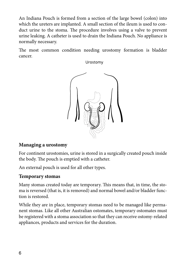An Indiana Pouch is formed from a section of the large bowel (colon) into which the ureters are implanted. A small section of the ileum is used to conduct urine to the stoma. The procedure involves using a valve to prevent urine leaking. A catheter is used to drain the Indiana Pouch. No appliance is normally necessary.

The most common condition needing urostomy formation is bladder cancer.

Urostomy



#### **Managing a urostomy**

For continent urostomies, urine is stored in a surgically created pouch inside the body. The pouch is emptied with a catheter.

An external pouch is used for all other types.

#### **Temporary stomas**

Many stomas created today are temporary. This means that, in time, the stoma is reversed (that is, it is removed) and normal bowel and/or bladder function is restored.

While they are in place, temporary stomas need to be managed like permanent stomas. Like all other Australian ostomates, temporary ostomates must be registered with a stoma association so that they can receive ostomy-related appliances, products and services for the duration.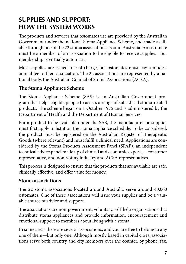# **Supplies and support: how the system works**

The products and services that ostomates use are provided by the Australian Government under the national Stoma Appliance Scheme, and made available through one of the 22 stoma associations around Australia. An ostomate must be a member of an association to be eligible to receive supplies—but membership is virtually automatic.

Most supplies are issued free of charge, but ostomates must pay a modest annual fee to their association. The 22 associations are represented by a national body, the Australian Council of Stoma Associations (ACSA).

## **The Stoma Appliance Scheme**

The Stoma Appliance Scheme (SAS) is an Australian Government program that helps eligible people to access a range of subsidised stoma-related products. The scheme began on 1 October 1975 and is administered by the Department of Health and the Department of Human Services.

For a product to be available under the SAS, the manufacturer or supplier must first apply to list it on the stoma appliance schedule. To be considered, the product must be registered on the Australian Register of Therapeutic Goods (where relevant) and must fulfil a clinical need. Applications are considered by the Stoma Products Assessment Panel (SPAP), an independent technical advice panel made up of clinical and economic experts, a consumer representative, and non-voting industry and ACSA representatives.

This process is designed to ensure that the products that are available are safe, clinically effective, and offer value for money.

## **Stoma associations**

The 22 stoma associations located around Australia serve around 40,000 ostomates. One of these associations will issue your supplies and be a valuable source of advice and support.

The associations are non-government, voluntary, self-help organisations that distribute stoma appliances and provide information, encouragement and emotional support to members about living with a stoma.

In some areas there are several associations, and you are free to belong to any one of them—but only one. Although mostly based in capital cities, associations serve both country and city members over the counter, by phone, fax,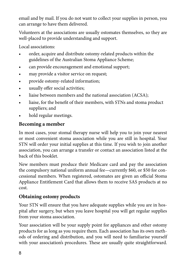email and by mail. If you do not want to collect your supplies in person, you can arrange to have them delivered.

Volunteers at the associations are usually ostomates themselves, so they are well-placed to provide understanding and support.

Local associations:

- order, acquire and distribute ostomy-related products within the guidelines of the Australian Stoma Appliance Scheme;
- can provide encouragement and emotional support;
- may provide a visitor service on request;
- provide ostomy-related information;
- usually offer social activities;
- liaise between members and the national association (ACSA);
- liaise, for the benefit of their members, with STNs and stoma product suppliers; and
- hold regular meetings.

## **Becoming a member**

In most cases, your stomal therapy nurse will help you to join your nearest or most convenient stoma association while you are still in hospital. Your STN will order your initial supplies at this time. If you wish to join another association, you can arrange a transfer or contact an association listed at the back of this booklet.

New members must produce their Medicare card and pay the association the compulsory national uniform annual fee—currently \$60, or \$50 for concessional members. When registered, ostomates are given an official Stoma Appliance Entitlement Card that allows them to receive SAS products at no cost.

## **Obtaining ostomy products**

Your STN will ensure that you have adequate supplies while you are in hospital after surgery, but when you leave hospital you will get regular supplies from your stoma association.

Your association will be your supply point for appliances and other ostomy products for as long as you require them. Each association has its own methods of ordering and distribution, and you will need to familiarise yourself with your association's procedures. These are usually quite straightforward.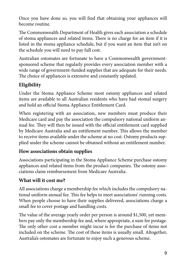Once you have done so, you will find that obtaining your appliances will become routine.

The Commonwealth Department of Health gives each association a schedule of stoma appliances and related items. There is no charge for an item if it is listed in the stoma appliance schedule, but if you want an item that isn't on the schedule you will need to pay full cost.

Australian ostomates are fortunate to have a Commonwealth governmentsponsored scheme that regularly provides every association member with a wide range of government-funded supplies that are adequate for their needs. The choice of appliances is extensive and constantly updated.

## **Eligibility**

Under the Stoma Appliance Scheme most ostomy appliances and related items are available to all Australian residents who have had stomal surgery and hold an official Stoma Appliance Entitlement Card.

When registering with an association, new members must produce their Medicare card and pay the association the compulsory national uniform annual fee. They will then be issued with the official entitlement card supplied by Medicare Australia and an entitlement number. This allows the member to receive items available under the scheme at no cost. Ostomy products supplied under the scheme cannot be obtained without an entitlement number.

## **How associations obtain supplies**

Associations participating in the Stoma Appliance Scheme purchase ostomy appliances and related items from the product companies. The ostomy associations claim reimbursement from Medicare Australia.

## **What will it cost me?**

All associations charge a membership fee which includes the compulsory national uniform annual fee. This fee helps to meet associations' running costs. When people choose to have their supplies delivered, associations charge a small fee to cover postage and handling costs.

The value of the average yearly order per person is around \$1,500, yet members pay only the membership fee and, where appropriate, a sum for postage. The only other cost a member might incur is for the purchase of items not included on the scheme. The cost of these items is usually small. Altogether, Australia's ostomates are fortunate to enjoy such a generous scheme.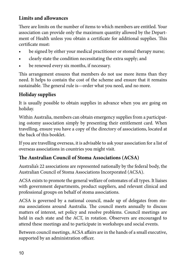## **Limits and allowances**

There are limits on the number of items to which members are entitled. Your association can provide only the maximum quantity allowed by the Department of Health unless you obtain a certificate for additional supplies. This certificate must:

- be signed by either your medical practitioner or stomal therapy nurse;
- clearly state the condition necessitating the extra supply; and
- be renewed every six months, if necessary.

This arrangement ensures that members do not use more items than they need. It helps to contain the cost of the scheme and ensure that it remains sustainable. The general rule is—order what you need, and no more.

## **Holiday supplies**

It is usually possible to obtain supplies in advance when you are going on holiday.

Within Australia, members can obtain emergency supplies from a participating ostomy association simply by presenting their entitlement card. When travelling, ensure you have a copy of the directory of associations, located at the back of this booklet.

If you are travelling overseas, it is advisable to ask your association for a list of overseas associations in countries you might visit.

## **The Australian Council of Stoma Associations (ACSA)**

Australia's 22 associations are represented nationally by the federal body, the Australian Council of Stoma Associations Incorporated (ACSA).

ACSA exists to promote the general welfare of ostomates of all types. It liaises with government departments, product suppliers, and relevant clinical and professional groups on behalf of stoma associations.

ACSA is governed by a national council, made up of delegates from stoma associations around Australia. The council meets annually to discuss matters of interest, set policy and resolve problems. Council meetings are held in each state and the ACT, in rotation. Observers are encouraged to attend these meetings and to participate in workshops and social events.

Between council meetings, ACSA affairs are in the hands of a small executive, supported by an administration officer.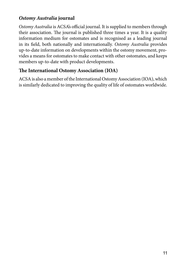## *Ostomy Australia* **journal**

*Ostomy Australia* is ACSA's official journal. It is supplied to members through their association. The journal is published three times a year. It is a quality information medium for ostomates and is recognised as a leading journal in its field, both nationally and internationally. *Ostomy Australia* provides up-to-date information on developments within the ostomy movement, provides a means for ostomates to make contact with other ostomates, and keeps members up-to-date with product developments.

## **The International Ostomy Association (IOA)**

ACSA is also a member of the International Ostomy Association (IOA), which is similarly dedicated to improving the quality of life of ostomates worldwide.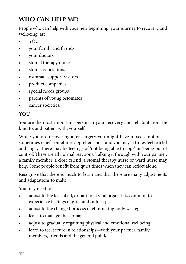# **WHO CAN HELP ME?**

People who can help with your new beginning, your journey to recovery and wellbeing, are:

- YOU
- • your family and friends
- vour doctors
- • stomal therapy nurses
- stoma associations
- ostomate support visitors
- product companies
- • special needs groups
- parents of young ostomates
- cancer societies

## **YOU**

You are the most important person in your recovery and rehabilitation. Be kind to, and patient with, yourself.

While you are recovering after surgery you might have mixed emotions sometimes relief, sometimes apprehension—and you may at times feel tearful and angry. There may be feelings of 'not being able to cope' or 'being out of control'. These are all normal reactions. Talking it through with your partner, a family member, a close friend, a stomal therapy nurse or ward nurse may help. Some people benefit from quiet times when they can reflect alone.

Recognise that there is much to learn and that there are many adjustments and adaptations to make.

You may need to:

- adjust to the loss of all, or part, of a vital organ. It is common to experience feelings of grief and sadness;
- adjust to the changed process of eliminating body waste;
- learn to manage the stoma;
- adjust to gradually regaining physical and emotional wellbeing;
- learn to feel secure in relationships—with your partner, family members, friends and the general public.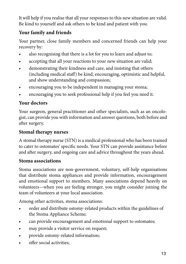It will help if you realise that all your responses to this new situation are valid. Be kind to yourself and ask others to be kind and patient with you.

## **Your family and friends**

Your partner, close family members and concerned friends can help your recovery by:

- also recognising that there is a lot for you to learn and adjust to;
- accepting that all your reactions to your new situation are valid;
- demonstrating their kindness and care, and insisting that others (including medical staff) be kind, encouraging, optimistic and helpful, and show understanding and compassion;
- encouraging you to be independent in managing your stoma;
- encouraging you to seek professional help if you feel you need it.

## **Your doctors**

Your surgeon, general practitioner and other specialists, such as an oncologist, can provide you with information and answer questions, both before and after surgery.

## **Stomal therapy nurses**

A stomal therapy nurse (STN) is a medical professional who has been trained to cater to ostomates' specific needs. Your STN can provide assistance before and after surgery, and ongoing care and advice throughout the years ahead.

#### **Stoma associations**

Stoma associations are non-government, voluntary, self-help organisations that distribute stoma appliances and provide information, encouragement and emotional support to members. Many associations depend heavily on volunteers—when you are feeling stronger, you might consider joining the team of volunteers at your local association.

Among other activities, stoma associations:

- order and distribute ostomy-related products within the guidelines of the Stoma Appliance Scheme;
- can provide encouragement and emotional support to ostomates;
- may provide a visitor service on request;
- provide ostomy-related information;
- offer social activities: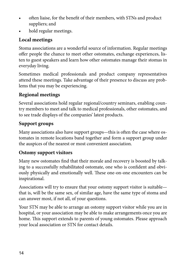- often liaise, for the benefit of their members, with STNs and product suppliers; and
- hold regular meetings.

## **Local meetings**

Stoma associations are a wonderful source of information. Regular meetings offer people the chance to meet other ostomates, exchange experiences, listen to guest speakers and learn how other ostomates manage their stomas in everyday living.

Sometimes medical professionals and product company representatives attend these meetings. Take advantage of their presence to discuss any problems that you may be experiencing.

## **Regional meetings**

Several associations hold regular regional/country seminars, enabling country members to meet and talk to medical professionals, other ostomates, and to see trade displays of the companies' latest products.

## **Support groups**

Many associations also have support groups—this is often the case where ostomates in remote locations band together and form a support group under the auspices of the nearest or most convenient association.

## **Ostomy support visitors**

Many new ostomates find that their morale and recovery is boosted by talking to a successfully rehabilitated ostomate, one who is confident and obviously physically and emotionally well. These one-on-one encounters can be inspirational.

Associations will try to ensure that your ostomy support visitor is suitable that is, will be the same sex, of similar age, have the same type of stoma and can answer most, if not all, of your questions.

Your STN may be able to arrange an ostomy support visitor while you are in hospital, or your association may be able to make arrangements once you are home. This support extends to parents of young ostomates. Please approach your local association or STN for contact details.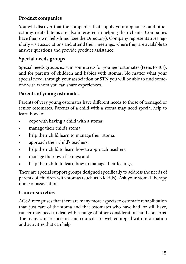## **Product companies**

You will discover that the companies that supply your appliances and other ostomy-related items are also interested in helping their clients. Companies have their own 'help-lines' (see the Directory). Company representatives regularly visit associations and attend their meetings, where they are available to answer questions and provide product assistance.

## **Special needs groups**

Special needs groups exist in some areas for younger ostomates (teens to 40s), and for parents of children and babies with stomas. No matter what your special need, through your association or STN you will be able to find someone with whom you can share experiences.

## **Parents of young ostomates**

Parents of very young ostomates have different needs to those of teenaged or senior ostomates. Parents of a child with a stoma may need special help to learn how to:

- cope with having a child with a stoma;
- manage their child's stoma;
- help their child learn to manage their stoma;
- approach their child's teachers;
- help their child to learn how to approach teachers;
- manage their own feelings; and
- help their child to learn how to manage their feelings.

There are special support groups designed specifically to address the needs of parents of children with stomas (such as Nidkids). Ask your stomal therapy nurse or association.

#### **Cancer societies**

ACSA recognises that there are many more aspects to ostomate rehabilitation than just care of the stoma and that ostomates who have had, or still have, cancer may need to deal with a range of other considerations and concerns. The many cancer societies and councils are well equipped with information and activities that can help.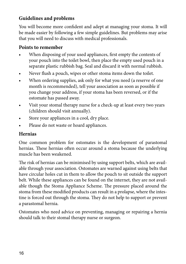## **Guidelines and problems**

You will become more confident and adept at managing your stoma. It will be made easier by following a few simple guidelines. But problems may arise that you will need to discuss with medical professionals.

## **Points to remember**

- When disposing of your used appliances, first empty the contents of your pouch into the toilet bowl, then place the empty used pouch in a separate plastic rubbish bag. Seal and discard it with normal rubbish.
- Never flush a pouch, wipes or other stoma items down the toilet.
- When ordering supplies, ask only for what you need (a reserve of one month is recommended), tell your association as soon as possible if you change your address, if your stoma has been reversed, or if the ostomate has passed away.
- Visit your stomal therapy nurse for a check-up at least every two years (children should visit annually).
- Store your appliances in a cool, dry place.
- Please do not waste or hoard appliances.

## **Hernias**

One common problem for ostomates is the development of parastomal hernias. These hernias often occur around a stoma because the underlying muscle has been weakened.

The risk of hernias can be minimised by using support belts, which are available through your association. Ostomates are warned against using belts that have circular holes cut in them to allow the pouch to sit outside the support belt. While these appliances can be found on the internet, they are not available though the Stoma Appliance Scheme. The pressure placed around the stoma from these modified products can result in a prolapse, where the intestine is forced out through the stoma. They do not help to support or prevent a parastomal hernia.

Ostomates who need advice on preventing, managing or repairing a hernia should talk to their stomal therapy nurse or surgeon.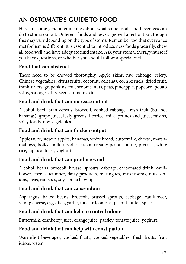# **AN OSTOMATE'S GUIDE TO FOOD**

Here are some general guidelines about what some foods and beverages can do to stoma output. Different foods and beverages will affect output, though this may vary depending on the type of stoma. Remember too that everyone's metabolism is different. It is essential to introduce new foods gradually, chew all food well and have adequate fluid intake. Ask your stomal therapy nurse if you have questions, or whether you should follow a special diet.

## **Food that can obstruct**

These need to be chewed thoroughly. Apple skins, raw cabbage, celery, Chinese vegetables, citrus fruits, coconut, coleslaw, corn kernels, dried fruit, frankfurters, grape skins, mushrooms, nuts, peas, pineapple, popcorn, potato skins, sausage skins, seeds, tomato skins.

#### **Food and drink that can increase output**

Alcohol, beef, bran cereals, broccoli, cooked cabbage, fresh fruit (but not bananas), grape juice, leafy greens, licorice, milk, prunes and juice, raisins, spicy foods, raw vegetables.

#### **Food and drink that can thicken output**

Applesauce, stewed apples, bananas, white bread, buttermilk, cheese, marshmallows, boiled milk, noodles, pasta, creamy peanut butter, pretzels, white rice, tapioca, toast, yoghurt.

#### **Food and drink that can produce wind**

Alcohol, beans, broccoli, brussel sprouts, cabbage, carbonated drink, cauliflower, corn, cucumber, dairy products, meringues, mushrooms, nuts, onions, peas, radishes, soy, spinach, whips.

#### **Food and drink that can cause odour**

Asparagus, baked beans, broccoli, brussel sprouts, cabbage, cauliflower, strong cheese, eggs, fish, garlic, mustard, onions, peanut butter, spices.

## **Food and drink that can help to control odour**

Buttermilk, cranberry juice, orange juice, parsley, tomato juice, yoghurt.

## **Food and drink that can help with constipation**

Warm/hot beverages, cooked fruits, cooked vegetables, fresh fruits, fruit juices, water.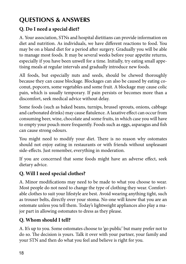# **QUESTIONS & ANSWERS**

## **Q. Do I need a special diet?**

A. Your association, STNs and hospital dietitians can provide information on diet and nutrition. As individuals, we have different reactions to food. You may be on a bland diet for a period after surgery. Gradually you will be able to manage most foods. It may be several weeks before your appetite returns, especially if you have been unwell for a time. Initially, try eating small appetising meals at regular intervals and gradually introduce new foods.

All foods, but especially nuts and seeds, should be chewed thoroughly because they can cause blockage. Blockages can also be caused by eating coconut, popcorn, some vegetables and some fruit. A blockage may cause colic pain, which is usually temporary. If pain persists or becomes more than a discomfort, seek medical advice without delay.

Some foods (such as baked beans, turnips, brussel sprouts, onions, cabbage and carbonated drinks) may cause flatulence. A laxative effect can occur from consuming beer, wine, chocolate and some fruits, in which case you will have to empty your pouch more frequently. Foods such as eggs, asparagus and fish can cause strong odours.

You might need to modify your diet. There is no reason why ostomates should not enjoy eating in restaurants or with friends without unpleasant side-effects. Just remember, everything in moderation.

If you are concerned that some foods might have an adverse effect, seek dietary advice.

## **Q. Will I need special clothes?**

A. Minor modifications may need to be made to what you choose to wear. Most people do not need to change the type of clothing they wear. Comfortable clothes to suit your lifestyle are best. Avoid wearing anything tight, such as trouser belts, directly over your stoma. No-one will know that you are an ostomate unless you tell them. Today's lightweight appliances also play a major part in allowing ostomates to dress as they please.

## **Q. Whom should I tell?**

A. It's up to you. Some ostomates choose to 'go public' but many prefer not to do so. The decision is yours. Talk it over with your partner, your family and your STN and then do what you feel and believe is right for you.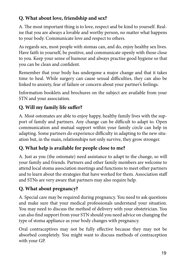## **Q. What about love, friendship and sex?**

A. The most important thing is to love, respect and be kind to yourself. Realise that you are always a lovable and worthy person, no matter what happens to your body. Communicate love and respect to others.

As regards sex, most people with stomas can, and do, enjoy healthy sex lives. Have faith in yourself, be positive, and communicate openly with those close to you. Keep your sense of humour and always practise good hygiene so that you can be clean and confident.

Remember that your body has undergone a major change and that it takes time to heal. While surgery can cause sexual difficulties, they can also be linked to anxiety, fear of failure or concern about your partner's feelings.

Information booklets and brochures on the subject are available from your STN and your association.

## **Q. Will my family life suffer?**

A. Most ostomates are able to enjoy happy, healthy family lives with the support of family and partners. Any change can be difficult to adapt to. Open communication and mutual support within your family circle can help in adapting. Some partners do experience difficulty in adapting to the new situation but, in the main, relationships not only survive, they grow stronger.

## **Q. What help is available for people close to me?**

A. Just as you (the ostomate) need assistance to adapt to the change, so will your family and friends. Partners and other family members are welcome to attend local stoma association meetings and functions to meet other partners and to learn about the strategies that have worked for them. Association staff and STNs are very aware that partners may also require help.

## **Q. What about pregnancy?**

A. Special care may be required during pregnancy. You need to ask questions and make sure that your medical professionals understand your situation. You may need to discuss the method of delivery with your obstetrician. You can also find support from your STN should you need advice on changing the type of stoma appliance as your body changes with pregnancy.

Oral contraceptives may not be fully effective because they may not be absorbed completely. You might want to discuss methods of contraception with your GP.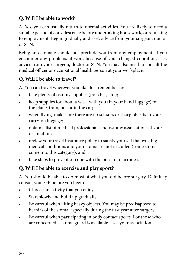## **Q. Will I be able to work?**

A. Yes, you can usually return to normal activities. You are likely to need a suitable period of convalescence before undertaking housework, or returning to employment. Begin gradually and seek advice from your surgeon, doctor or STN.

Being an ostomate should not preclude you from any employment. If you encounter any problems at work because of your changed condition, seek advice from your surgeon, doctor or STN. You may also need to consult the medical officer or occupational health person at your workplace.

## **Q. Will I be able to travel?**

A. You can travel wherever you like. Just remember to:

- take plenty of ostomy supplies (pouches, etc.);
- keep supplies for about a week with you (in your hand luggage) on the plane, train, bus or in the car;
- when flying, make sure there are no scissors or sharp objects in your carry-on luggage;
- • obtain a list of medical professionals and ostomy associations at your destination;
- review your travel insurance policy to satisfy yourself that existing medical conditions and your stoma are not excluded (some stomas come into this category); and
- take steps to prevent or cope with the onset of diarrhoea.

## **Q. Will I be able to exercise and play sport?**

A. You should be able to do most of what you did before surgery. Definitely consult your GP before you begin.

- Choose an activity that you enjoy.
- Start slowly and build up gradually.
- Be careful when lifting heavy objects. You may be predisaposed to hernias of the stoma, especially during the first year after surgery.
- Be careful when participating in body contact sports. For those who are concerned, a stoma guard is available—see your association.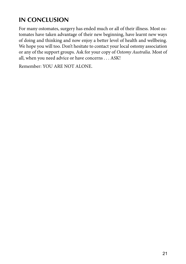# **IN CONCLUSION**

For many ostomates, surgery has ended much or all of their illness. Most ostomates have taken advantage of their new beginning, have learnt new ways of doing and thinking and now enjoy a better level of health and wellbeing. We hope you will too. Don't hesitate to contact your local ostomy association or any of the support groups. Ask for your copy of *Ostomy Australia*. Most of all, when you need advice or have concerns . . . ASK!

Remember: YOU ARE NOT ALONE.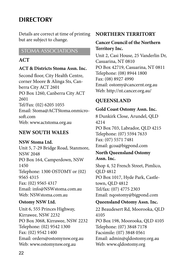## **DIRECTORY**

Details are correct at time of printing but are subject to change.

#### STOMA ASSOCIATIONS

#### $ACT$

#### **ACT & Districts Stoma Assn. Inc.**

Second floor, City Health Centre, corner Moore & Alinga Sts, Canberra City ACT 2601 PO Box 1260, Canberra City ACT 2601 Tel/Fax: (02) 6205 1055 Email: Stoma@ACTStoma.onmicrosoft.com Web: www.actstoma.org.au

### **NEW SOUTH WALES**

#### **NSW Stoma Ltd.**

Unit 5, 7-29 Bridge Road, Stanmore, NSW 2048 PO Box 164, Camperdown, NSW 1450 Telephone: 1300 OSTOMY or (02) 9565 4315 Fax: (02) 9565 4317 Email: info@NSWstoma.com.au Web: NSWstoma.com.au

#### **Ostomy NSW Ltd.**

Unit 6, 555 Princes Highway, Kirrawee, NSW 2232 PO Box 3068, Kirrawee, NSW 2232 Telephone: (02) 9542 1300 Fax: (02) 9542 1400 Email: orders@ostomynsw.org.au Web: www.ostomynsw.org.au

#### **NORTHERN TERRITORY**

#### **Cancer Council of the Northern Territory Inc.**

Unit 2, Casi House, 25 Vanderlin Dr, Casuarina, NT 0810 PO Box 42719, Casuarina, NT 0811 Telephone: (08) 8944 1800 Fax: (08) 8927 4990 Email: ostomy@cancernt.org.au Web: http://nt.cancer.org.au/

## **QUEENSLAND**

#### **Gold Coast Ostomy Assn. Inc.**

8 Dunkirk Close, Arundel, QLD 4214 PO Box 703, Labrador, QLD 4215 Telephone: (07) 5594 7633 Fax: (07) 5571 7481 Email: gcoa@bigpond.com

#### **North Queensland Ostomy Assn. Inc.**

Shop 4, 52 French Street, Pimlico, QLD 4812 PO Box 1017, Hyde Park, Castletown, QLD 4812 Tel/fax: (07) 4775 2303 Email: nqostomy@bigpond.com

#### **Queensland Ostomy Assn. Inc.**

22 Beaudesert Rd, Moorooka, QLD 4105 PO Box 198, Moorooka, QLD 4105 Telephone: (07) 3848 7178 Facsimile: (07) 3848 0561 Email: admin@qldostomy.org.au Web: www.qldostomy.org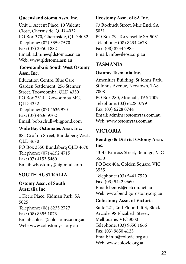#### **Queensland Stoma Assn. Inc.**

Unit 1, Accent Place, 10 Valente Close, Chermside, QLD 4032 PO Box 370, Chermside, QLD 4032 Telephone: (07) 3359 7570 Fax: (07) 3350 1882 Email: admin@qldstoma.asn.au Web: www.qldstoma.asn.au

#### **Toowoomba & South West Ostomy Assn. Inc.**

Education Centre, Blue Care Garden Settlement, 256 Stenner Street, Toowoomba, QLD 4350 PO Box 7314, Toowoomba MC, QLD 4352 Telephone: (07) 4636 9701 Fax: (07) 4636 9702 Email: bob.schull@bigpond.com

#### **Wide Bay Ostomates Assn. Inc.**

88a Crofton Street, Bundaberg West, QLD 4670 PO Box 3350 Bundaberg QLD 4670 Telephone: (07) 4152 4715 Fax: (07) 4153 5460 Email: wbostomy@bigpond.com

#### **SOUTH AUSTRALIA**

#### **Ostomy Assn. of South Australia Inc.**

1 Keele Place, Kidman Park, SA 5025 Telephone: (08) 8235 2727 Fax: (08) 8355 1073 Email: colosa@colostomysa.org.au Web: www.colostomysa.org.au

#### **Ileostomy Assn. of SA Inc.**

73 Roebuck Street, Mile End, SA 5031 PO Box 79, Torrensville SA 5031 Telephone: (08) 8234 2678 Fax: (08) 8234 2985 Email: info@ileosa.org.au

#### **TASMANIA**

#### **Ostomy Tasmania Inc.**

Amenities Building, St Johns Park, St Johns Avenue, Newtown, TAS 7008 PO Box 280, Moonah, TAS 7009 Telephone: (03) 6228 0799 Fax: (03) 6228 0744 Email: admin@ostomytas.com.au Web: www.ostomytas.com.au

### **VICTORIA**

#### **Bendigo & District Ostomy Assn. Inc.**

43-45 Kinross Street, Bendigo, VIC 3550 PO Box 404, Golden Square, VIC 3555 Telephone: (03) 5441 7520 Fax: (03) 5442 9660 Email: benost@netcon.net.au Web: www.bendigo-ostomy.org.au

#### **Colostomy Assn. of Victoria**

Suite 221, 2nd Floor, Lift 3, Block Arcade, 98 Elizabeth Street, Melbourne, VIC 3000 Telephone: (03) 9650 1666 Fax: (03) 9650 4123 Email: info@colovic.org.au Web: www.colovic.org.au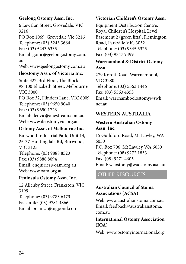#### **Geelong Ostomy Assn. Inc.**

6 Lewalan Street, Grovedale, VIC 3216 PO Box 1069, Grovedale Vic 3216 Telephone: (03) 5243 3664 Fax: (03) 5243 6335 Email: goinc@geelongostomy.com. au Web: www.geelongostomy.com.au

#### **Ileostomy Assn. of Victoria Inc.**

Suite 322, 3rd Floor, The Block, 98-100 Elizabeth Street, Melbourne VIC 3000 PO Box 32, Flinders Lane, VIC 8009 Telephone: (03) 9650 9040 Fax: (03) 9650 1723 Email: ileovic@onestream.com.au Web: www.ileostomyvic.org.au

#### **Ostomy Assn. of Melbourne Inc.**

Burwood Industrial Park, Unit 14, 25-37 Huntingdale Rd, Burwood, VIC 3125 Telephone: (03) 9888 8523 Fax: (03) 9888 8094 Email: enquiries@oam.org.au Web: www.oam.org.au

#### **Peninsula Ostomy Assn. Inc.**

12 Allenby Street, Frankston, VIC 3199 Telephone: (03) 9783 6473 Facsimile: (03) 9781 4866 Email: poainc1@bigpond.com

### **Victorian Children's Ostomy Assn.**

Equipment Distribution Centre, Royal Children's Hospital, Level Basement 2 (green lifts), Flemington Road, Parkville VIC 3052 Telephone: (03) 9345 5325 Fax: (03) 9347 9499

#### **Warrnambool & District Ostomy Assn.**

279 Koroit Road, Warrnambool, VIC 3280 Telephone: (03) 5563 1446 Fax: (03) 5563 4353 Email: warrnamboolostomy@swh. net.au

## **WESTERN AUSTRALIA**

#### **Western Australian Ostomy Assn. Inc.**

15 Guildford Road, Mt Lawley, WA 6050 P.O. Box 706, Mt Lawley WA 6050 Telephone: (08) 9272 1833 Fax: (08) 9271 4605 Email: waostomy@waostomy.asn.au

## OTHER RESOURCES

#### **Australian Council of Stoma Associations (ACSA)**

Web: www.australianstoma.com.au Email: feedback@australianstoma. com.au

#### **International Ostomy Association (IOA)**

Web: www.ostomyinternational.org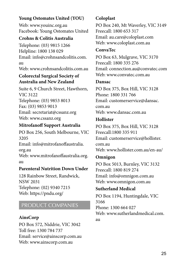#### **Young Ostomates United (YOU)**

Web: www.youinc.org.au Facebook: Young Ostomates United

#### **Crohns & Colitis Australia**

Telephone: (03) 9815 1266 Helpline: 1800 138 029 Email: info@crohnsandcolitis.com. au Web: www.crohnsandcolitis.com.au

#### **Colorectal Surgical Society of Australia and New Zealand**

Suite 6, 9 Church Street, Hawthorn, VIC 3122 Telephone: (03) 9853 8013 Fax: (03) 9853 9013 Email: secretariat@cssanz.org Web: www.cssanz.org

#### **Mitrofanoff Support Australia**

PO Box 256, South Melbourne, VIC 3205 Email: info@mitrofanoffaustralia. org.au Web: www.mitrofanoffaustralia.org. au

#### **Parenteral Nutrition Down Under**

128 Rainbow Street, Randwick, NSW 2031 Telephone: (02) 9340 7215 Web: https://pndu.org/

## PRODUCT COMPANIES

#### **AinsCorp**

PO Box 572, Niddrie, VIC 3042 Toll free: 1300 784 737 Email: service@ainscorp.com.au Web: www.ainscorp.com.au

## **Coloplast**

PO Box 240, Mt Waverley, VIC 3149 Freecall: 1800 653 317 Email: au.care@coloplast.com Web: www.coloplast.com.au

#### **ConvaTec**

PO Box 63, Mulgrave, VIC 3170 Freecall: 1800 335 276 Email: connection.au@convatec.com Web: www.convatec.com.au

#### **Dansac**

PO Box 375, Box Hill, VIC 3128 Phone: 1800 331 766 Email: customerservice@dansac. com.au Web: www.dansac.com.au

#### **Hollister**

PO Box 375, Box Hill, VIC 3128 Freecall:1800 335 911 Email: customerservice@hollister. com.au Web: www.hollister.com.au/en-au/

#### **Omnigon**

PO Box 5013, Burnley, VIC 3132 Freecall: 1800 819 274 Email: info@omnigon.com.au Web: www.omnigon.com.au

#### **Sutherland Medical**

PO Box 1194, Huntingdale, VIC 3166 Phone: 1300 664 027 Web: www.sutherlandmedical.com. au